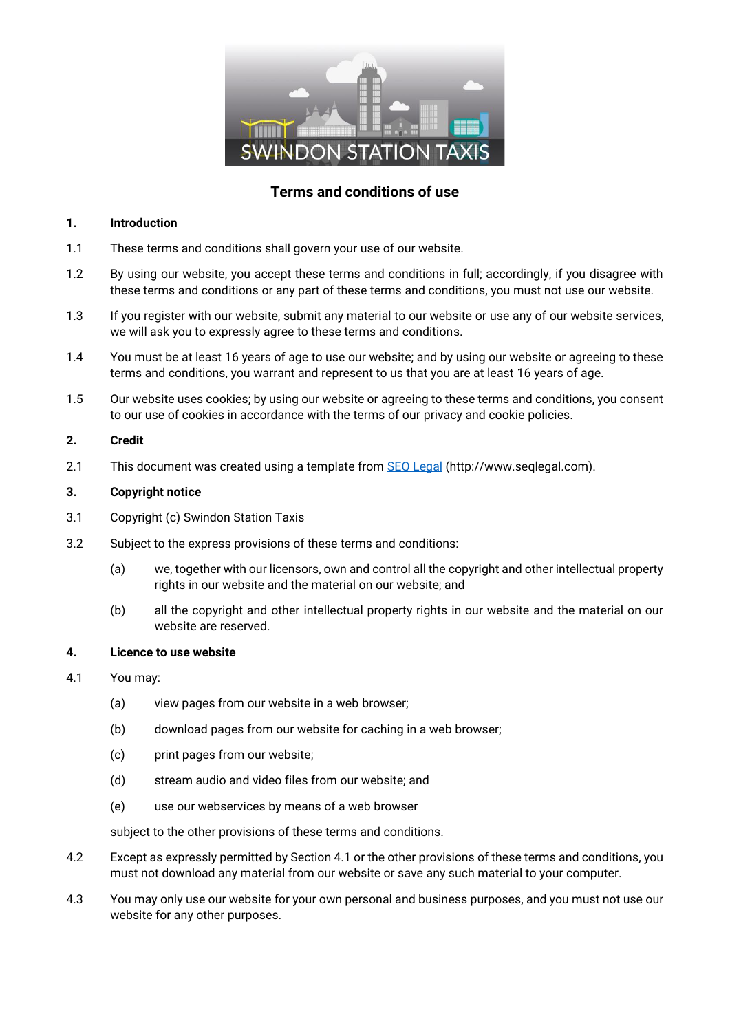

# **Terms and conditions of use**

#### **1. Introduction**

- 1.1 These terms and conditions shall govern your use of our website.
- 1.2 By using our website, you accept these terms and conditions in full; accordingly, if you disagree with these terms and conditions or any part of these terms and conditions, you must not use our website.
- 1.3 If you register with our website, submit any material to our website or use any of our website services, we will ask you to expressly agree to these terms and conditions.
- 1.4 You must be at least 16 years of age to use our website; and by using our website or agreeing to these terms and conditions, you warrant and represent to us that you are at least 16 years of age.
- 1.5 Our website uses cookies; by using our website or agreeing to these terms and conditions, you consent to our use of cookies in accordance with the terms of our privacy and cookie policies.

#### **2. Credit**

2.1 This document was created using a template from [SEQ Legal](http://www.seqlegal.com/) (http://www.seqlegal.com).

#### **3. Copyright notice**

- 3.1 Copyright (c) Swindon Station Taxis
- 3.2 Subject to the express provisions of these terms and conditions:
	- (a) we, together with our licensors, own and control all the copyright and other intellectual property rights in our website and the material on our website; and
	- (b) all the copyright and other intellectual property rights in our website and the material on our website are reserved.

## **4. Licence to use website**

- 4.1 You may:
	- (a) view pages from our website in a web browser;
	- (b) download pages from our website for caching in a web browser;
	- (c) print pages from our website;
	- (d) stream audio and video files from our website; and
	- (e) use our webservices by means of a web browser

subject to the other provisions of these terms and conditions.

- 4.2 Except as expressly permitted by Section 4.1 or the other provisions of these terms and conditions, you must not download any material from our website or save any such material to your computer.
- 4.3 You may only use our website for your own personal and business purposes, and you must not use our website for any other purposes.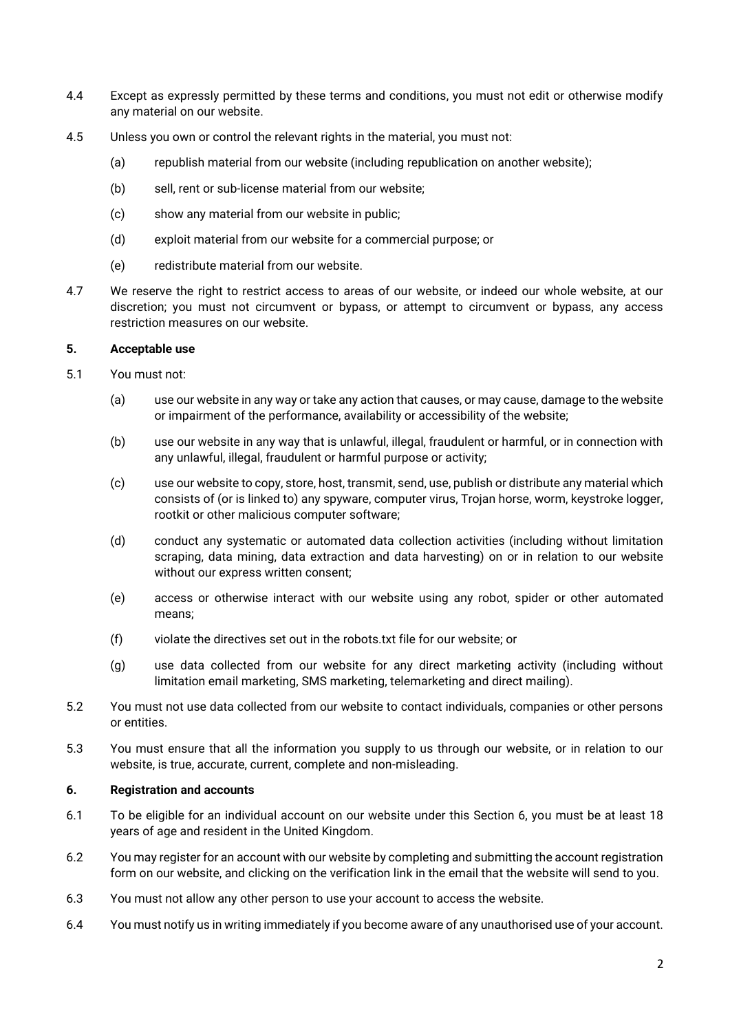- 4.4 Except as expressly permitted by these terms and conditions, you must not edit or otherwise modify any material on our website.
- 4.5 Unless you own or control the relevant rights in the material, you must not:
	- (a) republish material from our website (including republication on another website);
	- (b) sell, rent or sub-license material from our website;
	- (c) show any material from our website in public;
	- (d) exploit material from our website for a commercial purpose; or
	- (e) redistribute material from our website.
- 4.7 We reserve the right to restrict access to areas of our website, or indeed our whole website, at our discretion; you must not circumvent or bypass, or attempt to circumvent or bypass, any access restriction measures on our website.

#### **5. Acceptable use**

- 5.1 You must not:
	- (a) use our website in any way or take any action that causes, or may cause, damage to the website or impairment of the performance, availability or accessibility of the website;
	- (b) use our website in any way that is unlawful, illegal, fraudulent or harmful, or in connection with any unlawful, illegal, fraudulent or harmful purpose or activity;
	- (c) use our website to copy, store, host, transmit, send, use, publish or distribute any material which consists of (or is linked to) any spyware, computer virus, Trojan horse, worm, keystroke logger, rootkit or other malicious computer software;
	- (d) conduct any systematic or automated data collection activities (including without limitation scraping, data mining, data extraction and data harvesting) on or in relation to our website without our express written consent;
	- (e) access or otherwise interact with our website using any robot, spider or other automated means;
	- (f) violate the directives set out in the robots.txt file for our website; or
	- (g) use data collected from our website for any direct marketing activity (including without limitation email marketing, SMS marketing, telemarketing and direct mailing).
- 5.2 You must not use data collected from our website to contact individuals, companies or other persons or entities.
- 5.3 You must ensure that all the information you supply to us through our website, or in relation to our website, is true, accurate, current, complete and non-misleading.

## **6. Registration and accounts**

- 6.1 To be eligible for an individual account on our website under this Section 6, you must be at least 18 years of age and resident in the United Kingdom.
- 6.2 You may register for an account with our website by completing and submitting the account registration form on our website, and clicking on the verification link in the email that the website will send to you.
- 6.3 You must not allow any other person to use your account to access the website.
- 6.4 You must notify us in writing immediately if you become aware of any unauthorised use of your account.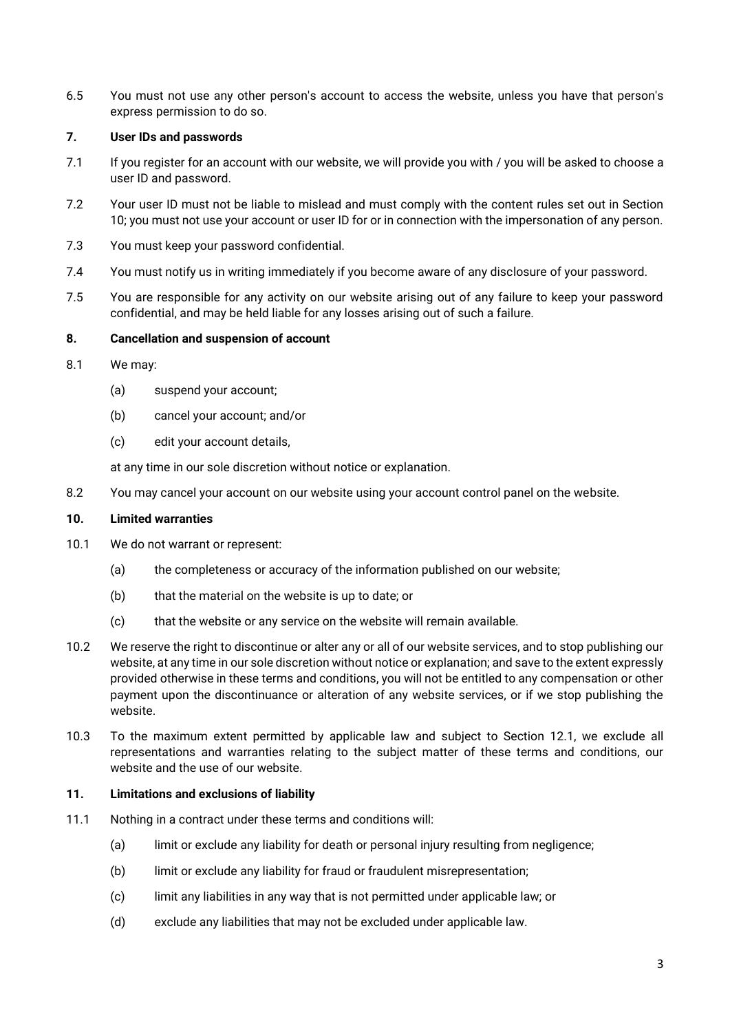6.5 You must not use any other person's account to access the website, unless you have that person's express permission to do so.

## **7. User IDs and passwords**

- 7.1 If you register for an account with our website, we will provide you with / you will be asked to choose a user ID and password.
- 7.2 Your user ID must not be liable to mislead and must comply with the content rules set out in Section 10; you must not use your account or user ID for or in connection with the impersonation of any person.
- 7.3 You must keep your password confidential.
- 7.4 You must notify us in writing immediately if you become aware of any disclosure of your password.
- 7.5 You are responsible for any activity on our website arising out of any failure to keep your password confidential, and may be held liable for any losses arising out of such a failure.

## **8. Cancellation and suspension of account**

- 8.1 We may:
	- (a) suspend your account;
	- (b) cancel your account; and/or
	- (c) edit your account details,

at any time in our sole discretion without notice or explanation.

8.2 You may cancel your account on our website using your account control panel on the website.

## **10. Limited warranties**

- 10.1 We do not warrant or represent:
	- (a) the completeness or accuracy of the information published on our website;
	- (b) that the material on the website is up to date; or
	- (c) that the website or any service on the website will remain available.
- 10.2 We reserve the right to discontinue or alter any or all of our website services, and to stop publishing our website, at any time in our sole discretion without notice or explanation; and save to the extent expressly provided otherwise in these terms and conditions, you will not be entitled to any compensation or other payment upon the discontinuance or alteration of any website services, or if we stop publishing the website.
- 10.3 To the maximum extent permitted by applicable law and subject to Section 12.1, we exclude all representations and warranties relating to the subject matter of these terms and conditions, our website and the use of our website.

#### **11. Limitations and exclusions of liability**

- 11.1 Nothing in a contract under these terms and conditions will:
	- (a) limit or exclude any liability for death or personal injury resulting from negligence;
	- (b) limit or exclude any liability for fraud or fraudulent misrepresentation;
	- (c) limit any liabilities in any way that is not permitted under applicable law; or
	- (d) exclude any liabilities that may not be excluded under applicable law.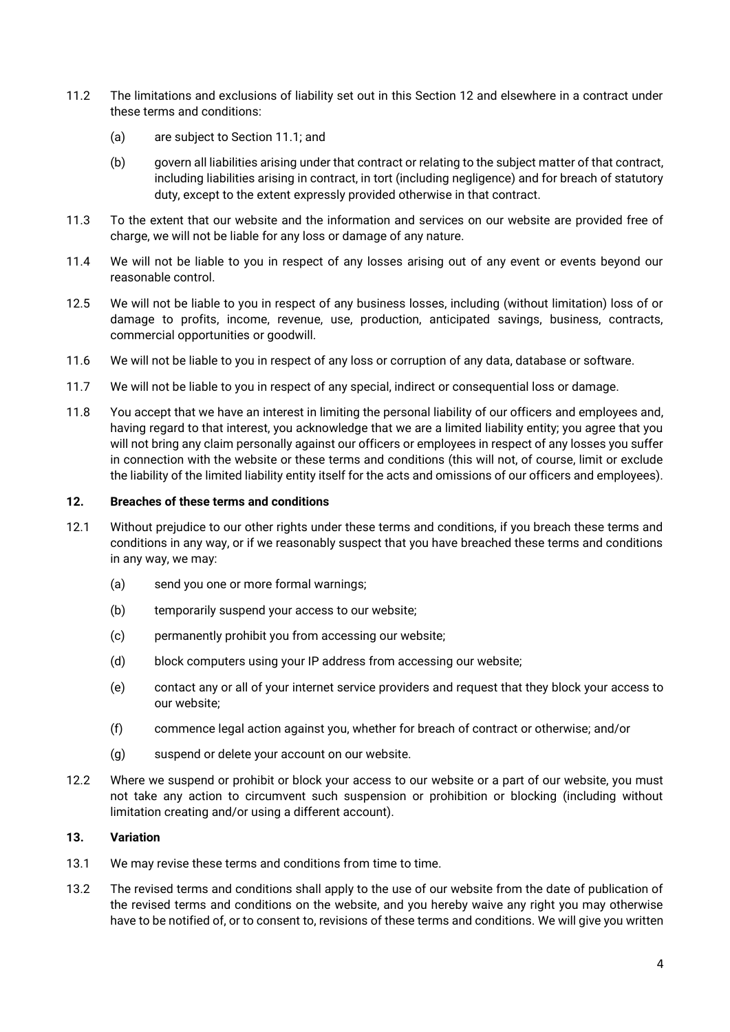- 11.2 The limitations and exclusions of liability set out in this Section 12 and elsewhere in a contract under these terms and conditions:
	- (a) are subject to Section 11.1; and
	- (b) govern all liabilities arising under that contract or relating to the subject matter of that contract, including liabilities arising in contract, in tort (including negligence) and for breach of statutory duty, except to the extent expressly provided otherwise in that contract.
- 11.3 To the extent that our website and the information and services on our website are provided free of charge, we will not be liable for any loss or damage of any nature.
- 11.4 We will not be liable to you in respect of any losses arising out of any event or events beyond our reasonable control.
- 12.5 We will not be liable to you in respect of any business losses, including (without limitation) loss of or damage to profits, income, revenue, use, production, anticipated savings, business, contracts, commercial opportunities or goodwill.
- 11.6 We will not be liable to you in respect of any loss or corruption of any data, database or software.
- 11.7 We will not be liable to you in respect of any special, indirect or consequential loss or damage.
- 11.8 You accept that we have an interest in limiting the personal liability of our officers and employees and, having regard to that interest, you acknowledge that we are a limited liability entity; you agree that you will not bring any claim personally against our officers or employees in respect of any losses you suffer in connection with the website or these terms and conditions (this will not, of course, limit or exclude the liability of the limited liability entity itself for the acts and omissions of our officers and employees).

## **12. Breaches of these terms and conditions**

- 12.1 Without prejudice to our other rights under these terms and conditions, if you breach these terms and conditions in any way, or if we reasonably suspect that you have breached these terms and conditions in any way, we may:
	- (a) send you one or more formal warnings;
	- (b) temporarily suspend your access to our website;
	- (c) permanently prohibit you from accessing our website;
	- (d) block computers using your IP address from accessing our website;
	- (e) contact any or all of your internet service providers and request that they block your access to our website;
	- (f) commence legal action against you, whether for breach of contract or otherwise; and/or
	- (g) suspend or delete your account on our website.
- 12.2 Where we suspend or prohibit or block your access to our website or a part of our website, you must not take any action to circumvent such suspension or prohibition or blocking (including without limitation creating and/or using a different account).

#### **13. Variation**

- 13.1 We may revise these terms and conditions from time to time.
- 13.2 The revised terms and conditions shall apply to the use of our website from the date of publication of the revised terms and conditions on the website, and you hereby waive any right you may otherwise have to be notified of, or to consent to, revisions of these terms and conditions. We will give you written